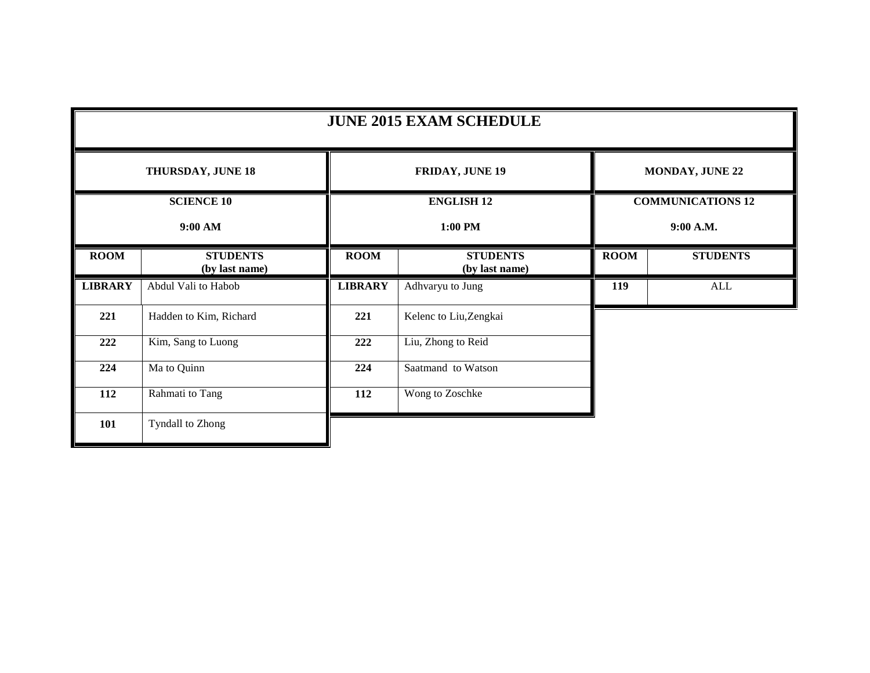| <b>JUNE 2015 EXAM SCHEDULE</b> |                                   |                   |                                   |                          |                        |  |  |
|--------------------------------|-----------------------------------|-------------------|-----------------------------------|--------------------------|------------------------|--|--|
| THURSDAY, JUNE 18              |                                   |                   | <b>FRIDAY, JUNE 19</b>            |                          | <b>MONDAY, JUNE 22</b> |  |  |
| <b>SCIENCE 10</b>              |                                   | <b>ENGLISH 12</b> |                                   | <b>COMMUNICATIONS 12</b> |                        |  |  |
| 9:00 AM                        |                                   | 1:00 PM           |                                   |                          | 9:00 A.M.              |  |  |
| <b>ROOM</b>                    | <b>STUDENTS</b><br>(by last name) | <b>ROOM</b>       | <b>STUDENTS</b><br>(by last name) | <b>ROOM</b>              | <b>STUDENTS</b>        |  |  |
| <b>LIBRARY</b>                 | Abdul Vali to Habob               | <b>LIBRARY</b>    | Adhvaryu to Jung                  | 119                      | $\mbox{ALL}$           |  |  |
| 221                            | Hadden to Kim, Richard            | 221               | Kelenc to Liu, Zengkai            |                          |                        |  |  |
| 222                            | Kim, Sang to Luong                | 222               | Liu, Zhong to Reid                |                          |                        |  |  |
| 224                            | Ma to Quinn                       | 224               | Saatmand to Watson                |                          |                        |  |  |
| 112                            | Rahmati to Tang                   | 112               | Wong to Zoschke                   |                          |                        |  |  |
| 101                            | <b>Tyndall to Zhong</b>           |                   |                                   |                          |                        |  |  |